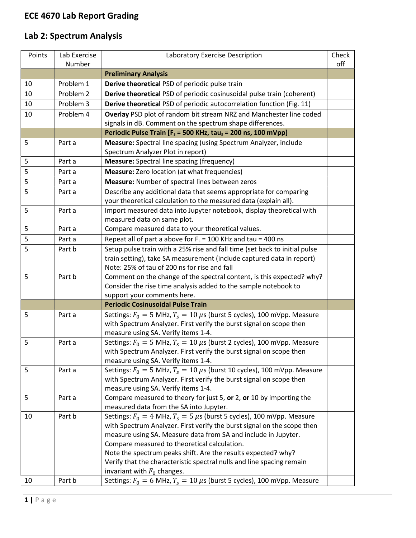## ECE 4670 Lab Report Grading

## Lab 2: Spectrum Analysis

| Points | Lab Exercise | Laboratory Exercise Description                                                                                       | Check |
|--------|--------------|-----------------------------------------------------------------------------------------------------------------------|-------|
|        | Number       |                                                                                                                       | off   |
|        |              | <b>Preliminary Analysis</b>                                                                                           |       |
| 10     | Problem 1    | Derive theoretical PSD of periodic pulse train                                                                        |       |
| 10     | Problem 2    | Derive theoretical PSD of periodic cosinusoidal pulse train (coherent)                                                |       |
| 10     | Problem 3    | Derive theoretical PSD of periodic autocorrelation function (Fig. 11)                                                 |       |
| 10     | Problem 4    | Overlay PSD plot of random bit stream NRZ and Manchester line coded                                                   |       |
|        |              | signals in dB. Comment on the spectrum shape differences.                                                             |       |
|        |              | Periodic Pulse Train [F <sub>s</sub> = 500 KHz, tau <sub>s</sub> = 200 ns, 100 mVpp]                                  |       |
| 5      | Part a       | Measure: Spectral line spacing (using Spectrum Analyzer, include                                                      |       |
|        |              | Spectrum Analyzer Plot in report)                                                                                     |       |
| 5      | Part a       | <b>Measure:</b> Spectral line spacing (frequency)                                                                     |       |
| 5      | Part a       | <b>Measure:</b> Zero location (at what frequencies)                                                                   |       |
| 5      | Part a       | Measure: Number of spectral lines between zeros                                                                       |       |
| 5      | Part a       | Describe any additional data that seems appropriate for comparing                                                     |       |
|        |              | your theoretical calculation to the measured data (explain all).                                                      |       |
| 5      | Part a       | Import measured data into Jupyter notebook, display theoretical with                                                  |       |
|        |              | measured data on same plot.                                                                                           |       |
| 5      | Part a       | Compare measured data to your theoretical values.                                                                     |       |
| 5      | Part a       | Repeat all of part a above for $F_s$ = 100 KHz and tau = 400 ns                                                       |       |
| 5      | Part b       | Setup pulse train with a 25% rise and fall time (set back to initial pulse                                            |       |
|        |              | train setting), take SA measurement (include captured data in report)                                                 |       |
|        |              | Note: 25% of tau of 200 ns for rise and fall                                                                          |       |
| 5      | Part b       | Comment on the change of the spectral content, is this expected? why?                                                 |       |
|        |              | Consider the rise time analysis added to the sample notebook to                                                       |       |
|        |              | support your comments here.                                                                                           |       |
|        |              | <b>Periodic Cosinusoidal Pulse Train</b>                                                                              |       |
| 5      | Part a       | Settings: $F_0 = 5$ MHz, $T_s = 10 \mu s$ (burst 5 cycles), 100 mVpp. Measure                                         |       |
|        |              | with Spectrum Analyzer. First verify the burst signal on scope then                                                   |       |
|        |              | measure using SA. Verify items 1-4.                                                                                   |       |
| 5      | Part a       | Settings: $F_0 = 5$ MHz, $T_s = 10 \mu s$ (burst 2 cycles), 100 mVpp. Measure                                         |       |
|        |              | with Spectrum Analyzer. First verify the burst signal on scope then                                                   |       |
| 5      |              | measure using SA. Verify items 1-4.<br>Settings: $F_0 = 5$ MHz, $T_s = 10 \mu s$ (burst 10 cycles), 100 mVpp. Measure |       |
|        | Part a       | with Spectrum Analyzer. First verify the burst signal on scope then                                                   |       |
|        |              | measure using SA. Verify items 1-4.                                                                                   |       |
| 5      | Part a       | Compare measured to theory for just 5, or 2, or 10 by importing the                                                   |       |
|        |              | measured data from the SA into Jupyter.                                                                               |       |
| 10     | Part b       | Settings: $F_0 = 4$ MHz, $T_s = 5 \mu s$ (burst 5 cycles), 100 mVpp. Measure                                          |       |
|        |              | with Spectrum Analyzer. First verify the burst signal on the scope then                                               |       |
|        |              | measure using SA. Measure data from SA and include in Jupyter.                                                        |       |
|        |              | Compare measured to theoretical calculation.                                                                          |       |
|        |              | Note the spectrum peaks shift. Are the results expected? why?                                                         |       |
|        |              | Verify that the characteristic spectral nulls and line spacing remain                                                 |       |
|        |              | invariant with $F_0$ changes.                                                                                         |       |
| 10     | Part b       | Settings: $F_0 = 6$ MHz, $T_s = 10 \,\mu s$ (burst 5 cycles), 100 mVpp. Measure                                       |       |